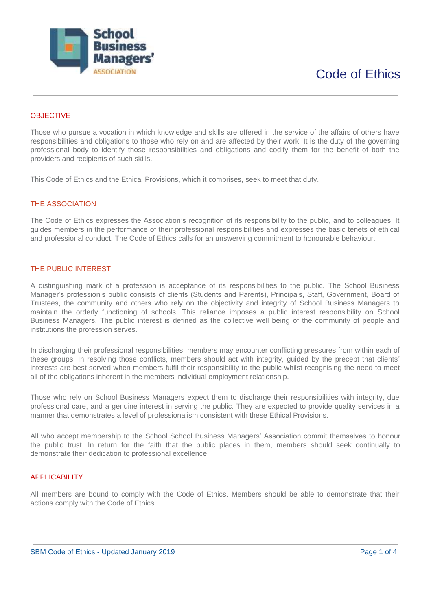

# **OBJECTIVE**

Those who pursue a vocation in which knowledge and skills are offered in the service of the affairs of others have responsibilities and obligations to those who rely on and are affected by their work. It is the duty of the governing professional body to identify those responsibilities and obligations and codify them for the benefit of both the providers and recipients of such skills.

This Code of Ethics and the Ethical Provisions, which it comprises, seek to meet that duty.

### THE ASSOCIATION

The Code of Ethics expresses the Association's recognition of its responsibility to the public, and to colleagues. It guides members in the performance of their professional responsibilities and expresses the basic tenets of ethical and professional conduct. The Code of Ethics calls for an unswerving commitment to honourable behaviour.

## THE PUBLIC INTEREST

A distinguishing mark of a profession is acceptance of its responsibilities to the public. The School Business Manager's profession's public consists of clients (Students and Parents), Principals, Staff, Government, Board of Trustees, the community and others who rely on the objectivity and integrity of School Business Managers to maintain the orderly functioning of schools. This reliance imposes a public interest responsibility on School Business Managers. The public interest is defined as the collective well being of the community of people and institutions the profession serves.

In discharging their professional responsibilities, members may encounter conflicting pressures from within each of these groups. In resolving those conflicts, members should act with integrity, guided by the precept that clients' interests are best served when members fulfil their responsibility to the public whilst recognising the need to meet all of the obligations inherent in the members individual employment relationship.

Those who rely on School Business Managers expect them to discharge their responsibilities with integrity, due professional care, and a genuine interest in serving the public. They are expected to provide quality services in a manner that demonstrates a level of professionalism consistent with these Ethical Provisions.

All who accept membership to the School School Business Managers' Association commit themselves to honour the public trust. In return for the faith that the public places in them, members should seek continually to demonstrate their dedication to professional excellence.

## **APPLICABILITY**

All members are bound to comply with the Code of Ethics. Members should be able to demonstrate that their actions comply with the Code of Ethics.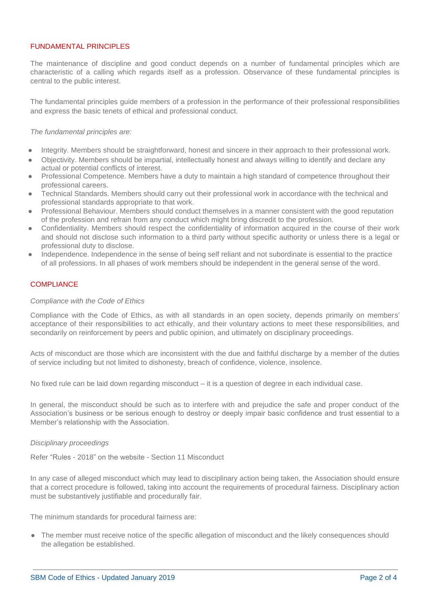## FUNDAMENTAL PRINCIPLES

The maintenance of discipline and good conduct depends on a number of fundamental principles which are characteristic of a calling which regards itself as a profession. Observance of these fundamental principles is central to the public interest.

The fundamental principles guide members of a profession in the performance of their professional responsibilities and express the basic tenets of ethical and professional conduct.

#### *The fundamental principles are:*

- Integrity. Members should be straightforward, honest and sincere in their approach to their professional work.
- Objectivity. Members should be impartial, intellectually honest and always willing to identify and declare any actual or potential conflicts of interest.
- Professional Competence. Members have a duty to maintain a high standard of competence throughout their professional careers.
- Technical Standards. Members should carry out their professional work in accordance with the technical and professional standards appropriate to that work.
- Professional Behaviour. Members should conduct themselves in a manner consistent with the good reputation of the profession and refrain from any conduct which might bring discredit to the profession.
- Confidentiality. Members should respect the confidentiality of information acquired in the course of their work and should not disclose such information to a third party without specific authority or unless there is a legal or professional duty to disclose.
- Independence. Independence in the sense of being self reliant and not subordinate is essential to the practice of all professions. In all phases of work members should be independent in the general sense of the word.

## **COMPLIANCE**

### *Compliance with the Code of Ethics*

Compliance with the Code of Ethics, as with all standards in an open society, depends primarily on members' acceptance of their responsibilities to act ethically, and their voluntary actions to meet these responsibilities, and secondarily on reinforcement by peers and public opinion, and ultimately on disciplinary proceedings.

Acts of misconduct are those which are inconsistent with the due and faithful discharge by a member of the duties of service including but not limited to dishonesty, breach of confidence, violence, insolence.

No fixed rule can be laid down regarding misconduct – it is a question of degree in each individual case.

In general, the misconduct should be such as to interfere with and prejudice the safe and proper conduct of the Association's business or be serious enough to destroy or deeply impair basic confidence and trust essential to a Member's relationship with the Association.

### *Disciplinary proceedings*

Refer "Rules - 2018" on the website - Section 11 Misconduct

In any case of alleged misconduct which may lead to disciplinary action being taken, the Association should ensure that a correct procedure is followed, taking into account the requirements of procedural fairness. Disciplinary action must be substantively justifiable and procedurally fair.

The minimum standards for procedural fairness are:

The member must receive notice of the specific allegation of misconduct and the likely consequences should the allegation be established.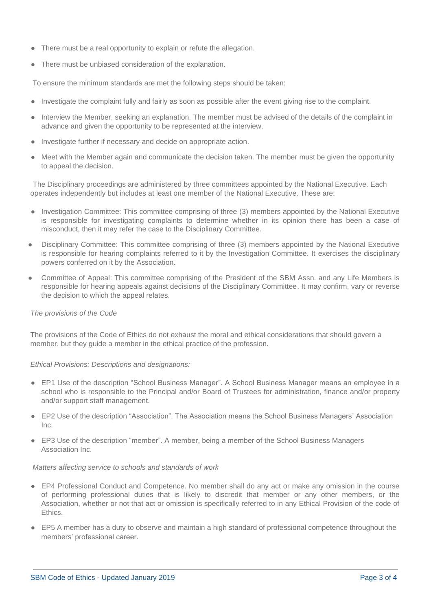- There must be a real opportunity to explain or refute the allegation.
- There must be unbiased consideration of the explanation.

To ensure the minimum standards are met the following steps should be taken:

- Investigate the complaint fully and fairly as soon as possible after the event giving rise to the complaint.
- Interview the Member, seeking an explanation. The member must be advised of the details of the complaint in advance and given the opportunity to be represented at the interview.
- Investigate further if necessary and decide on appropriate action.
- Meet with the Member again and communicate the decision taken. The member must be given the opportunity to appeal the decision.

The Disciplinary proceedings are administered by three committees appointed by the National Executive. Each operates independently but includes at least one member of the National Executive. These are:

- Investigation Committee: This committee comprising of three (3) members appointed by the National Executive is responsible for investigating complaints to determine whether in its opinion there has been a case of misconduct, then it may refer the case to the Disciplinary Committee.
- Disciplinary Committee: This committee comprising of three (3) members appointed by the National Executive is responsible for hearing complaints referred to it by the Investigation Committee. It exercises the disciplinary powers conferred on it by the Association.
- Committee of Appeal: This committee comprising of the President of the SBM Assn. and any Life Members is responsible for hearing appeals against decisions of the Disciplinary Committee. It may confirm, vary or reverse the decision to which the appeal relates.

## *The provisions of the Code*

The provisions of the Code of Ethics do not exhaust the moral and ethical considerations that should govern a member, but they guide a member in the ethical practice of the profession.

## *Ethical Provisions: Descriptions and designations:*

- EP1 Use of the description "School Business Manager". A School Business Manager means an employee in a school who is responsible to the Principal and/or Board of Trustees for administration, finance and/or property and/or support staff management.
- EP2 Use of the description "Association". The Association means the School Business Managers' Association Inc.
- EP3 Use of the description "member". A member, being a member of the School Business Managers Association Inc.

### *Matters affecting service to schools and standards of work*

- EP4 Professional Conduct and Competence. No member shall do any act or make any omission in the course of performing professional duties that is likely to discredit that member or any other members, or the Association, whether or not that act or omission is specifically referred to in any Ethical Provision of the code of **Ethics**
- EP5 A member has a duty to observe and maintain a high standard of professional competence throughout the members' professional career.